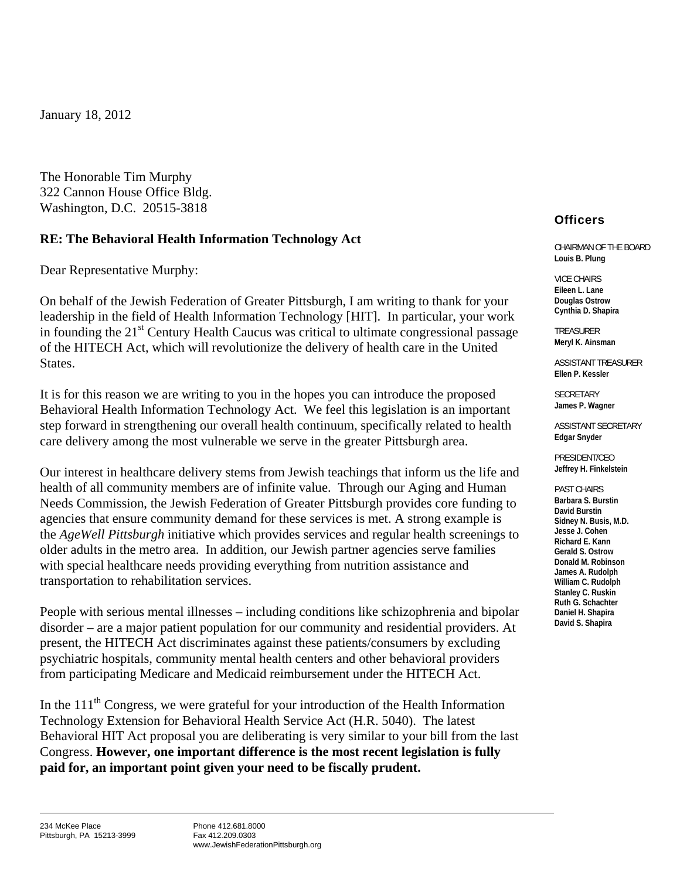January 18, 2012

The Honorable Tim Murphy 322 Cannon House Office Bldg. Washington, D.C. 20515-3818

## **RE: The Behavioral Health Information Technology Act**

Dear Representative Murphy:

On behalf of the Jewish Federation of Greater Pittsburgh, I am writing to thank for your leadership in the field of Health Information Technology [HIT]. In particular, your work in founding the  $21<sup>st</sup>$  Century Health Caucus was critical to ultimate congressional passage of the HITECH Act, which will revolutionize the delivery of health care in the United States.

It is for this reason we are writing to you in the hopes you can introduce the proposed Behavioral Health Information Technology Act. We feel this legislation is an important step forward in strengthening our overall health continuum, specifically related to health care delivery among the most vulnerable we serve in the greater Pittsburgh area.

Our interest in healthcare delivery stems from Jewish teachings that inform us the life and health of all community members are of infinite value. Through our Aging and Human Needs Commission, the Jewish Federation of Greater Pittsburgh provides core funding to agencies that ensure community demand for these services is met. A strong example is the *AgeWell Pittsburgh* initiative which provides services and regular health screenings to older adults in the metro area. In addition, our Jewish partner agencies serve families with special healthcare needs providing everything from nutrition assistance and transportation to rehabilitation services.

People with serious mental illnesses – including conditions like schizophrenia and bipolar disorder – are a major patient population for our community and residential providers. At present, the HITECH Act discriminates against these patients/consumers by excluding psychiatric hospitals, community mental health centers and other behavioral providers from participating Medicare and Medicaid reimbursement under the HITECH Act.

In the  $111<sup>th</sup>$  Congress, we were grateful for your introduction of the Health Information Technology Extension for Behavioral Health Service Act (H.R. 5040). The latest Behavioral HIT Act proposal you are deliberating is very similar to your bill from the last Congress. **However, one important difference is the most recent legislation is fully paid for, an important point given your need to be fiscally prudent.** 

## **Officers**

CHAIRMAN OF THE BOARD **Louis B. Plung** 

VICE CHAIRS **Eileen L. Lane Douglas Ostrow Cynthia D. Shapira** 

TREASURER **Meryl K. Ainsman** 

ASSISTANT TREASURER **Ellen P. Kessler** 

SECRETARY **James P. Wagner** 

ASSISTANT SECRETARY **Edgar Snyder** 

PRESIDENT/CEO **Jeffrey H. Finkelstein** 

PAST CHAIRS **Barbara S. Burstin David Burstin Sidney N. Busis, M.D. Jesse J. Cohen Richard E. Kann Gerald S. Ostrow Donald M. Robinson James A. Rudolph William C. Rudolph Stanley C. Ruskin Ruth G. Schachter Daniel H. Shapira David S. Shapira**